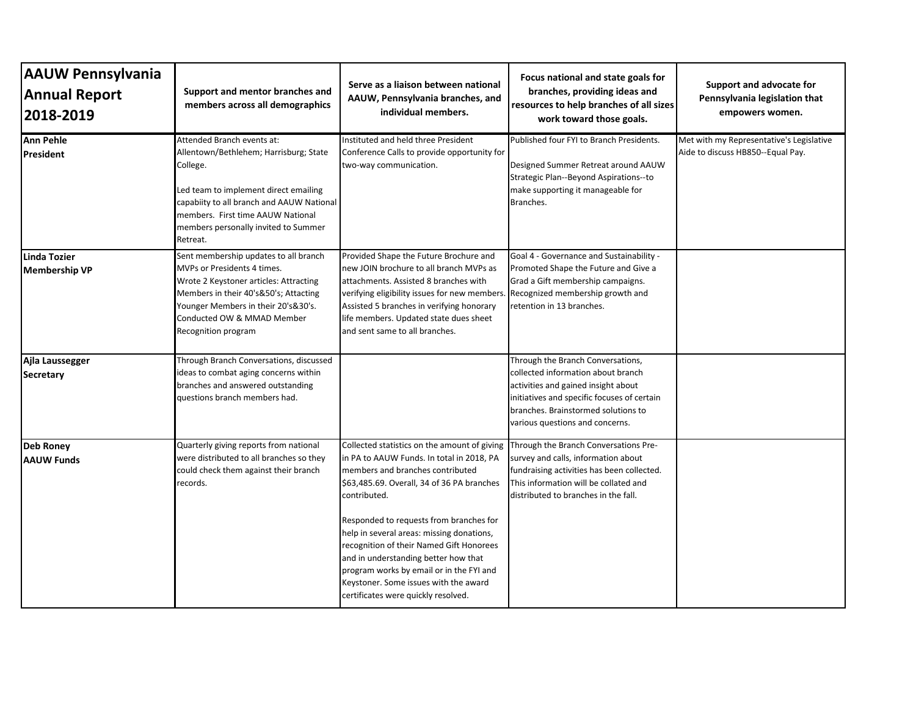| <b>AAUW Pennsylvania</b><br><b>Annual Report</b><br>2018-2019 | Support and mentor branches and<br>members across all demographics                                                                                                                                                                                              | Serve as a liaison between national<br>AAUW, Pennsylvania branches, and<br>individual members.                                                                                                                                                                                                                                                                                                                                                                                                      | Focus national and state goals for<br>branches, providing ideas and<br>resources to help branches of all sizes<br>work toward those goals.                                                                                              | Support and advocate for<br>Pennsylvania legislation that<br>empowers women.  |
|---------------------------------------------------------------|-----------------------------------------------------------------------------------------------------------------------------------------------------------------------------------------------------------------------------------------------------------------|-----------------------------------------------------------------------------------------------------------------------------------------------------------------------------------------------------------------------------------------------------------------------------------------------------------------------------------------------------------------------------------------------------------------------------------------------------------------------------------------------------|-----------------------------------------------------------------------------------------------------------------------------------------------------------------------------------------------------------------------------------------|-------------------------------------------------------------------------------|
| <b>Ann Pehle</b><br>President                                 | Attended Branch events at:<br>Allentown/Bethlehem; Harrisburg; State<br>College.<br>Led team to implement direct emailing<br>capabiity to all branch and AAUW National<br>members. First time AAUW National<br>members personally invited to Summer<br>Retreat. | Instituted and held three President<br>Conference Calls to provide opportunity for<br>two-way communication.                                                                                                                                                                                                                                                                                                                                                                                        | Published four FYI to Branch Presidents.<br>Designed Summer Retreat around AAUW<br>Strategic Plan--Beyond Aspirations--to<br>make supporting it manageable for<br>Branches.                                                             | Met with my Representative's Legislative<br>Aide to discuss HB850--Equal Pay. |
| Linda Tozier<br><b>Membership VP</b>                          | Sent membership updates to all branch<br>MVPs or Presidents 4 times.<br>Wrote 2 Keystoner articles: Attracting<br>Members in their 40's&50's; Attacting<br>Younger Members in their 20's&30's.<br>Conducted OW & MMAD Member<br>Recognition program             | Provided Shape the Future Brochure and<br>new JOIN brochure to all branch MVPs as<br>attachments. Assisted 8 branches with<br>verifying eligibility issues for new members.<br>Assisted 5 branches in verifying honorary<br>life members. Updated state dues sheet<br>and sent same to all branches.                                                                                                                                                                                                | Goal 4 - Governance and Sustainability -<br>Promoted Shape the Future and Give a<br>Grad a Gift membership campaigns.<br>Recognized membership growth and<br>retention in 13 branches.                                                  |                                                                               |
| Ajla Laussegger<br><b>Secretary</b>                           | Through Branch Conversations, discussed<br>ideas to combat aging concerns within<br>branches and answered outstanding<br>questions branch members had.                                                                                                          |                                                                                                                                                                                                                                                                                                                                                                                                                                                                                                     | Through the Branch Conversations,<br>collected information about branch<br>activities and gained insight about<br>initiatives and specific focuses of certain<br>branches. Brainstormed solutions to<br>various questions and concerns. |                                                                               |
| <b>Deb Roney</b><br><b>AAUW Funds</b>                         | Quarterly giving reports from national<br>were distributed to all branches so they<br>could check them against their branch<br>records.                                                                                                                         | Collected statistics on the amount of giving<br>in PA to AAUW Funds. In total in 2018, PA<br>members and branches contributed<br>\$63,485.69. Overall, 34 of 36 PA branches<br>contributed.<br>Responded to requests from branches for<br>help in several areas: missing donations,<br>recognition of their Named Gift Honorees<br>and in understanding better how that<br>program works by email or in the FYI and<br>Keystoner. Some issues with the award<br>certificates were quickly resolved. | Through the Branch Conversations Pre-<br>survey and calls, information about<br>fundraising activities has been collected.<br>This information will be collated and<br>distributed to branches in the fall.                             |                                                                               |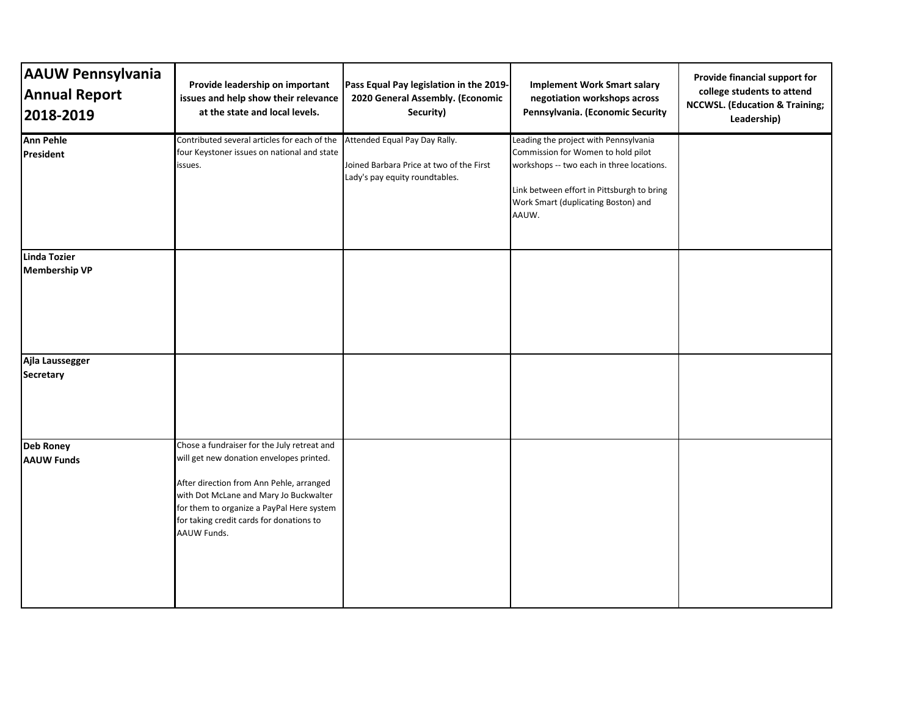| <b>AAUW Pennsylvania</b><br><b>Annual Report</b><br>2018-2019 | Provide leadership on important<br>issues and help show their relevance<br>at the state and local levels.                                                                                                                                                                             | Pass Equal Pay legislation in the 2019-<br>2020 General Assembly. (Economic<br>Security)                    | <b>Implement Work Smart salary</b><br>negotiation workshops across<br>Pennsylvania. (Economic Security                                                                                                                 | Provide financial support for<br>college students to attend<br><b>NCCWSL.</b> (Education & Training;<br>Leadership) |
|---------------------------------------------------------------|---------------------------------------------------------------------------------------------------------------------------------------------------------------------------------------------------------------------------------------------------------------------------------------|-------------------------------------------------------------------------------------------------------------|------------------------------------------------------------------------------------------------------------------------------------------------------------------------------------------------------------------------|---------------------------------------------------------------------------------------------------------------------|
| <b>Ann Pehle</b><br><b>President</b>                          | Contributed several articles for each of the<br>four Keystoner issues on national and state<br>issues.                                                                                                                                                                                | Attended Equal Pay Day Rally.<br>Joined Barbara Price at two of the First<br>Lady's pay equity roundtables. | Leading the project with Pennsylvania<br>Commission for Women to hold pilot<br>workshops -- two each in three locations.<br>Link between effort in Pittsburgh to bring<br>Work Smart (duplicating Boston) and<br>AAUW. |                                                                                                                     |
| Linda Tozier<br><b>Membership VP</b>                          |                                                                                                                                                                                                                                                                                       |                                                                                                             |                                                                                                                                                                                                                        |                                                                                                                     |
| Ajla Laussegger<br><b>Secretary</b>                           |                                                                                                                                                                                                                                                                                       |                                                                                                             |                                                                                                                                                                                                                        |                                                                                                                     |
| <b>Deb Roney</b><br><b>AAUW Funds</b>                         | Chose a fundraiser for the July retreat and<br>will get new donation envelopes printed.<br>After direction from Ann Pehle, arranged<br>with Dot McLane and Mary Jo Buckwalter<br>for them to organize a PayPal Here system<br>for taking credit cards for donations to<br>AAUW Funds. |                                                                                                             |                                                                                                                                                                                                                        |                                                                                                                     |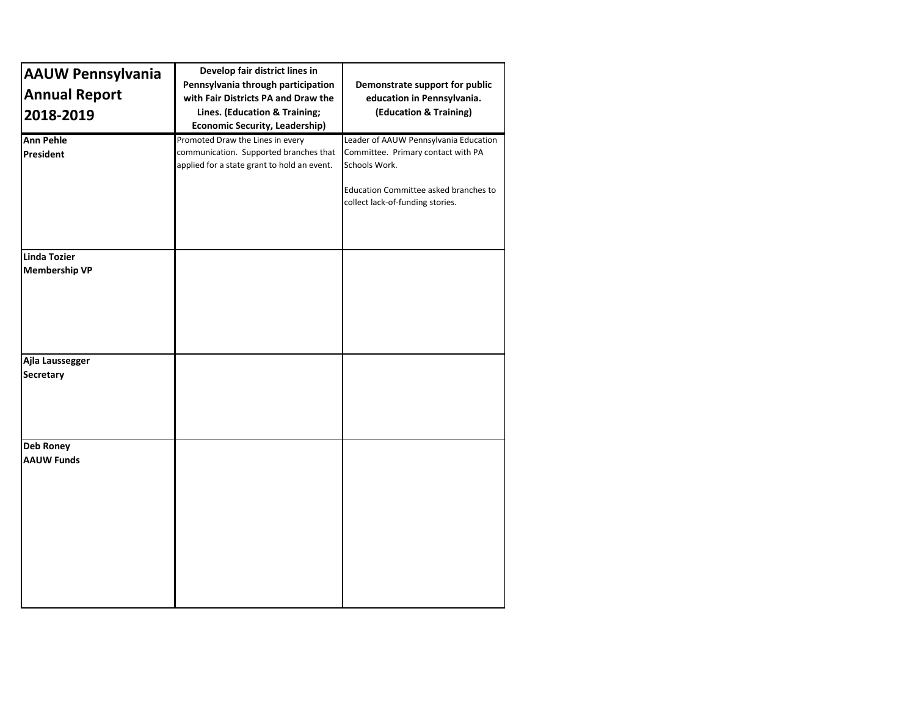| <b>AAUW Pennsylvania</b><br><b>Annual Report</b><br>2018-2019 | Develop fair district lines in<br>Pennsylvania through participation<br>with Fair Districts PA and Draw the<br>Lines. (Education & Training;<br><b>Economic Security, Leadership)</b> | Demonstrate support for public<br>education in Pennsylvania.<br>(Education & Training)                                                                                    |
|---------------------------------------------------------------|---------------------------------------------------------------------------------------------------------------------------------------------------------------------------------------|---------------------------------------------------------------------------------------------------------------------------------------------------------------------------|
| <b>Ann Pehle</b><br>President                                 | Promoted Draw the Lines in every<br>communication. Supported branches that<br>applied for a state grant to hold an event.                                                             | Leader of AAUW Pennsylvania Education<br>Committee. Primary contact with PA<br>Schools Work.<br>Education Committee asked branches to<br>collect lack-of-funding stories. |
| Linda Tozier<br><b>Membership VP</b>                          |                                                                                                                                                                                       |                                                                                                                                                                           |
| Ajla Laussegger<br>Secretary                                  |                                                                                                                                                                                       |                                                                                                                                                                           |
| Deb Roney<br><b>AAUW Funds</b>                                |                                                                                                                                                                                       |                                                                                                                                                                           |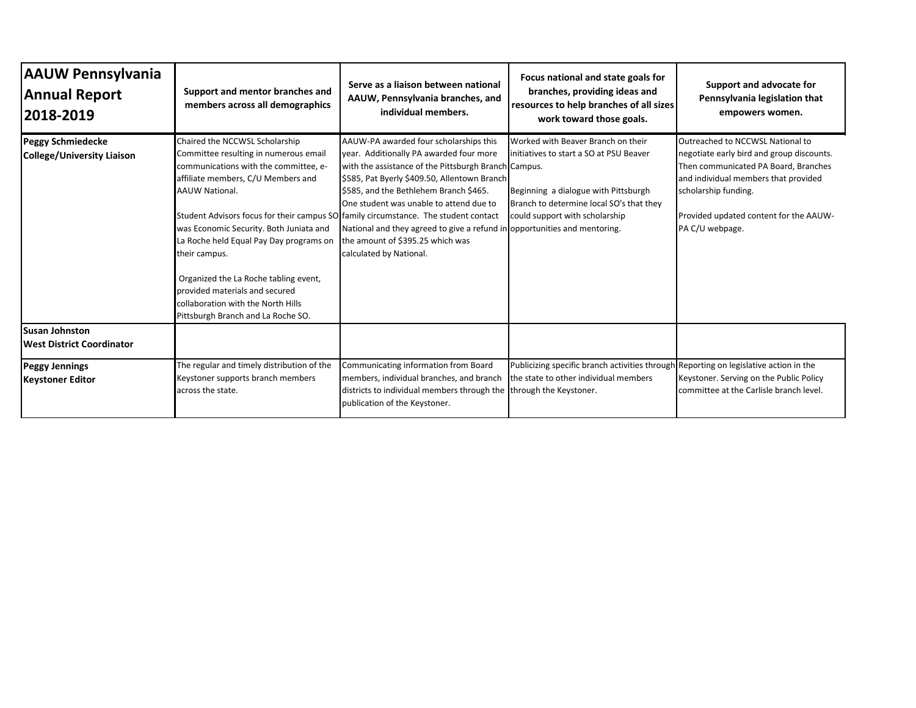| <b>AAUW Pennsylvania</b><br><b>Annual Report</b><br>2018-2019 | Support and mentor branches and<br>members across all demographics                                                                                                                                                                                                                                                                                                                                                                                                                                                                   | Serve as a liaison between national<br>AAUW, Pennsylvania branches, and<br>individual members.                                                                                                                                                                                                                                                                                                                             | Focus national and state goals for<br>branches, providing ideas and<br>resources to help branches of all sizes<br>work toward those goals.                                                          | Support and advocate for<br>Pennsylvania legislation that<br>empowers women.                                                                                                                                                                       |
|---------------------------------------------------------------|--------------------------------------------------------------------------------------------------------------------------------------------------------------------------------------------------------------------------------------------------------------------------------------------------------------------------------------------------------------------------------------------------------------------------------------------------------------------------------------------------------------------------------------|----------------------------------------------------------------------------------------------------------------------------------------------------------------------------------------------------------------------------------------------------------------------------------------------------------------------------------------------------------------------------------------------------------------------------|-----------------------------------------------------------------------------------------------------------------------------------------------------------------------------------------------------|----------------------------------------------------------------------------------------------------------------------------------------------------------------------------------------------------------------------------------------------------|
| <b>Peggy Schmiedecke</b><br>College/University Liaison        | Chaired the NCCWSL Scholarship<br>Committee resulting in numerous email<br>communications with the committee, e-<br>affiliate members, C/U Members and<br><b>AAUW National.</b><br>Student Advisors focus for their campus SO family circumstance. The student contact<br>was Economic Security. Both Juniata and<br>La Roche held Equal Pay Day programs on<br>their campus.<br>Organized the La Roche tabling event,<br>provided materials and secured<br>collaboration with the North Hills<br>Pittsburgh Branch and La Roche SO. | AAUW-PA awarded four scholarships this<br>year. Additionally PA awarded four more<br>with the assistance of the Pittsburgh Branch Campus.<br>\$585, Pat Byerly \$409.50, Allentown Branch<br>\$585, and the Bethlehem Branch \$465.<br>One student was unable to attend due to<br>National and they agreed to give a refund in opportunities and mentoring.<br>the amount of \$395.25 which was<br>calculated by National. | Worked with Beaver Branch on their<br>initiatives to start a SO at PSU Beaver<br>Beginning a dialogue with Pittsburgh<br>Branch to determine local SO's that they<br>could support with scholarship | Outreached to NCCWSL National to<br>negotiate early bird and group discounts.<br>Then communicated PA Board, Branches<br>and individual members that provided<br>scholarship funding.<br>Provided updated content for the AAUW-<br>PA C/U webpage. |
| <b>Susan Johnston</b><br>West District Coordinator            |                                                                                                                                                                                                                                                                                                                                                                                                                                                                                                                                      |                                                                                                                                                                                                                                                                                                                                                                                                                            |                                                                                                                                                                                                     |                                                                                                                                                                                                                                                    |
| <b>Peggy Jennings</b><br><b>Keystoner Editor</b>              | The regular and timely distribution of the<br>Keystoner supports branch members<br>across the state.                                                                                                                                                                                                                                                                                                                                                                                                                                 | Communicating information from Board<br>members, individual branches, and branch<br>districts to individual members through the<br>publication of the Keystoner.                                                                                                                                                                                                                                                           | Publicizing specific branch activities through Reporting on legislative action in the<br>the state to other individual members<br>through the Keystoner.                                            | Keystoner. Serving on the Public Policy<br>committee at the Carlisle branch level.                                                                                                                                                                 |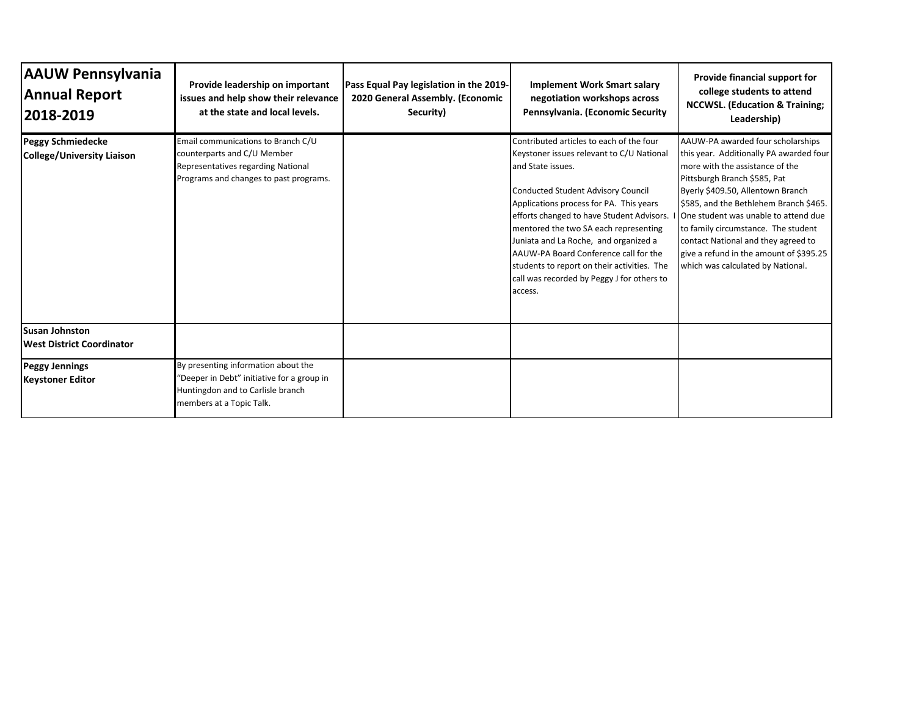| <b>AAUW Pennsylvania</b><br><b>Annual Report</b><br> 2018-2019 | Provide leadership on important<br>issues and help show their relevance<br>at the state and local levels.                                          | Pass Equal Pay legislation in the 2019-<br>2020 General Assembly. (Economic<br>Security) | <b>Implement Work Smart salary</b><br>negotiation workshops across<br>Pennsylvania. (Economic Security                                                                                                                                                                                                                                                                                                                                                                             | Provide financial support for<br>college students to attend<br><b>NCCWSL. (Education &amp; Training:</b><br>Leadership)                                                                                                                                                                                                                                                                                                              |
|----------------------------------------------------------------|----------------------------------------------------------------------------------------------------------------------------------------------------|------------------------------------------------------------------------------------------|------------------------------------------------------------------------------------------------------------------------------------------------------------------------------------------------------------------------------------------------------------------------------------------------------------------------------------------------------------------------------------------------------------------------------------------------------------------------------------|--------------------------------------------------------------------------------------------------------------------------------------------------------------------------------------------------------------------------------------------------------------------------------------------------------------------------------------------------------------------------------------------------------------------------------------|
| <b>Peggy Schmiedecke</b><br><b>College/University Liaison</b>  | Email communications to Branch C/U<br>counterparts and C/U Member<br>Representatives regarding National<br>Programs and changes to past programs.  |                                                                                          | Contributed articles to each of the four<br>Keystoner issues relevant to C/U National<br>and State issues.<br><b>Conducted Student Advisory Council</b><br>Applications process for PA. This years<br>efforts changed to have Student Advisors.<br>mentored the two SA each representing<br>Juniata and La Roche, and organized a<br>AAUW-PA Board Conference call for the<br>students to report on their activities. The<br>call was recorded by Peggy J for others to<br>access. | AAUW-PA awarded four scholarships<br>this year. Additionally PA awarded four<br>more with the assistance of the<br>Pittsburgh Branch \$585, Pat<br>Byerly \$409.50, Allentown Branch<br>\$585, and the Bethlehem Branch \$465.<br>One student was unable to attend due<br>to family circumstance. The student<br>contact National and they agreed to<br>give a refund in the amount of \$395.25<br>which was calculated by National. |
| <b>Susan Johnston</b><br>West District Coordinator             |                                                                                                                                                    |                                                                                          |                                                                                                                                                                                                                                                                                                                                                                                                                                                                                    |                                                                                                                                                                                                                                                                                                                                                                                                                                      |
| <b>Peggy Jennings</b><br><b>Keystoner Editor</b>               | By presenting information about the<br>"Deeper in Debt" initiative for a group in<br>Huntingdon and to Carlisle branch<br>members at a Topic Talk. |                                                                                          |                                                                                                                                                                                                                                                                                                                                                                                                                                                                                    |                                                                                                                                                                                                                                                                                                                                                                                                                                      |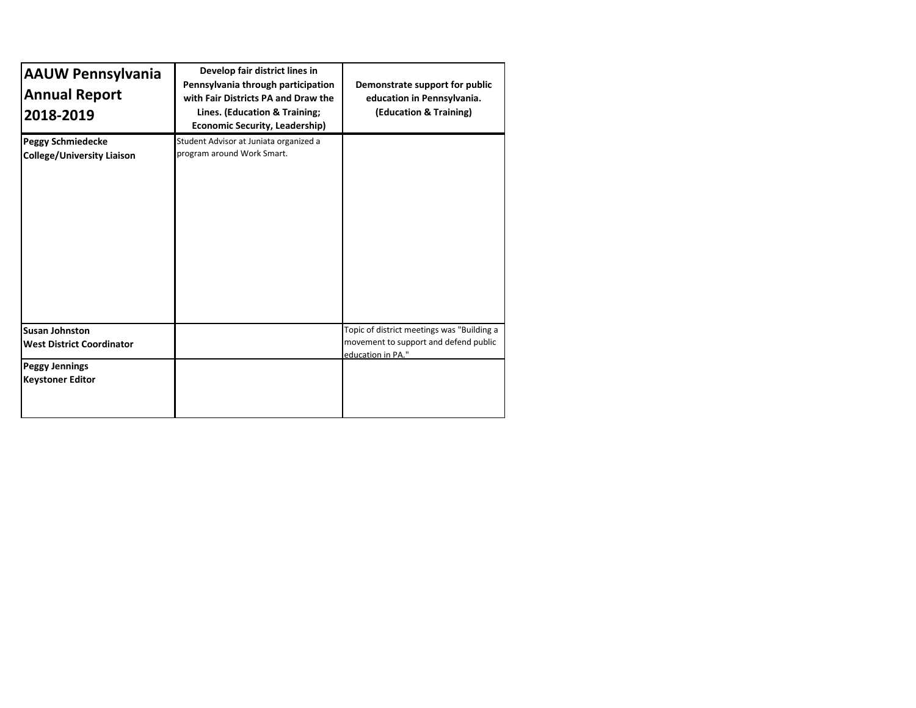| <b>AAUW Pennsylvania</b><br><b>Annual Report</b><br>2018-2019 | Develop fair district lines in<br>Pennsylvania through participation<br>with Fair Districts PA and Draw the<br>Lines. (Education & Training;<br><b>Economic Security, Leadership)</b> | Demonstrate support for public<br>education in Pennsylvania.<br>(Education & Training)                   |
|---------------------------------------------------------------|---------------------------------------------------------------------------------------------------------------------------------------------------------------------------------------|----------------------------------------------------------------------------------------------------------|
| <b>Peggy Schmiedecke</b><br><b>College/University Liaison</b> | Student Advisor at Juniata organized a<br>program around Work Smart.                                                                                                                  |                                                                                                          |
| <b>Susan Johnston</b><br><b>West District Coordinator</b>     |                                                                                                                                                                                       | Topic of district meetings was "Building a<br>movement to support and defend public<br>education in PA." |
| <b>Peggy Jennings</b><br><b>Keystoner Editor</b>              |                                                                                                                                                                                       |                                                                                                          |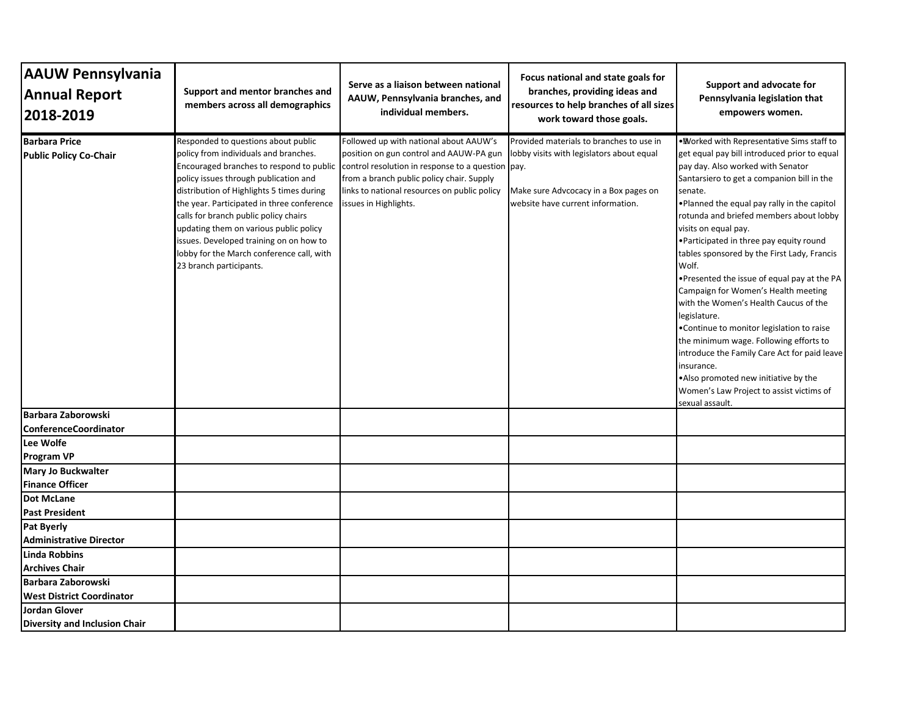| <b>AAUW Pennsylvania</b>                                     | Support and mentor branches and                                                                                                                                                                                                                                                                                                                                                                                        | Serve as a liaison between national                                                                                                                                                                                                                                                                   | Focus national and state goals for<br>branches, providing ideas and                                                                                                 | Support and advocate for                                                                                                                                                                                                                                                                                                                                                                                                                                                                                                                                                                                                                                                                                                                                                                                                   |
|--------------------------------------------------------------|------------------------------------------------------------------------------------------------------------------------------------------------------------------------------------------------------------------------------------------------------------------------------------------------------------------------------------------------------------------------------------------------------------------------|-------------------------------------------------------------------------------------------------------------------------------------------------------------------------------------------------------------------------------------------------------------------------------------------------------|---------------------------------------------------------------------------------------------------------------------------------------------------------------------|----------------------------------------------------------------------------------------------------------------------------------------------------------------------------------------------------------------------------------------------------------------------------------------------------------------------------------------------------------------------------------------------------------------------------------------------------------------------------------------------------------------------------------------------------------------------------------------------------------------------------------------------------------------------------------------------------------------------------------------------------------------------------------------------------------------------------|
| <b>Annual Report</b><br>2018-2019                            | members across all demographics                                                                                                                                                                                                                                                                                                                                                                                        | AAUW, Pennsylvania branches, and<br>individual members.                                                                                                                                                                                                                                               | resources to help branches of all sizes<br>work toward those goals.                                                                                                 | Pennsylvania legislation that<br>empowers women.                                                                                                                                                                                                                                                                                                                                                                                                                                                                                                                                                                                                                                                                                                                                                                           |
| <b>Barbara Price</b><br><b>Public Policy Co-Chair</b>        | Responded to questions about public<br>policy from individuals and branches.<br>policy issues through publication and<br>distribution of Highlights 5 times during<br>the year. Participated in three conference<br>calls for branch public policy chairs<br>updating them on various public policy<br>issues. Developed training on on how to<br>lobby for the March conference call, with<br>23 branch participants. | Followed up with national about AAUW's<br>position on gun control and AAUW-PA gun<br>Encouraged branches to respond to public control resolution in response to a question pay.<br>from a branch public policy chair. Supply<br>links to national resources on public policy<br>issues in Highlights. | Provided materials to branches to use in<br>lobby visits with legislators about equal<br>Make sure Advcocacy in a Box pages on<br>website have current information. | . Worked with Representative Sims staff to<br>get equal pay bill introduced prior to equal<br>pay day. Also worked with Senator<br>Santarsiero to get a companion bill in the<br>senate.<br>. Planned the equal pay rally in the capitol<br>rotunda and briefed members about lobby<br>visits on equal pay.<br>•Participated in three pay equity round<br>tables sponsored by the First Lady, Francis<br>Wolf.<br>. Presented the issue of equal pay at the PA<br>Campaign for Women's Health meeting<br>with the Women's Health Caucus of the<br>legislature.<br>•Continue to monitor legislation to raise<br>the minimum wage. Following efforts to<br>introduce the Family Care Act for paid leave<br>insurance.<br>.Also promoted new initiative by the<br>Women's Law Project to assist victims of<br>sexual assault. |
| <b>Barbara Zaborowski</b><br><b>ConferenceCoordinator</b>    |                                                                                                                                                                                                                                                                                                                                                                                                                        |                                                                                                                                                                                                                                                                                                       |                                                                                                                                                                     |                                                                                                                                                                                                                                                                                                                                                                                                                                                                                                                                                                                                                                                                                                                                                                                                                            |
| Lee Wolfe<br><b>Program VP</b>                               |                                                                                                                                                                                                                                                                                                                                                                                                                        |                                                                                                                                                                                                                                                                                                       |                                                                                                                                                                     |                                                                                                                                                                                                                                                                                                                                                                                                                                                                                                                                                                                                                                                                                                                                                                                                                            |
| Mary Jo Buckwalter<br><b>Finance Officer</b>                 |                                                                                                                                                                                                                                                                                                                                                                                                                        |                                                                                                                                                                                                                                                                                                       |                                                                                                                                                                     |                                                                                                                                                                                                                                                                                                                                                                                                                                                                                                                                                                                                                                                                                                                                                                                                                            |
| <b>Dot McLane</b><br><b>Past President</b>                   |                                                                                                                                                                                                                                                                                                                                                                                                                        |                                                                                                                                                                                                                                                                                                       |                                                                                                                                                                     |                                                                                                                                                                                                                                                                                                                                                                                                                                                                                                                                                                                                                                                                                                                                                                                                                            |
| <b>Pat Byerly</b><br><b>Administrative Director</b>          |                                                                                                                                                                                                                                                                                                                                                                                                                        |                                                                                                                                                                                                                                                                                                       |                                                                                                                                                                     |                                                                                                                                                                                                                                                                                                                                                                                                                                                                                                                                                                                                                                                                                                                                                                                                                            |
| <b>Linda Robbins</b><br><b>Archives Chair</b>                |                                                                                                                                                                                                                                                                                                                                                                                                                        |                                                                                                                                                                                                                                                                                                       |                                                                                                                                                                     |                                                                                                                                                                                                                                                                                                                                                                                                                                                                                                                                                                                                                                                                                                                                                                                                                            |
| Barbara Zaborowski<br><b>West District Coordinator</b>       |                                                                                                                                                                                                                                                                                                                                                                                                                        |                                                                                                                                                                                                                                                                                                       |                                                                                                                                                                     |                                                                                                                                                                                                                                                                                                                                                                                                                                                                                                                                                                                                                                                                                                                                                                                                                            |
| <b>Jordan Glover</b><br><b>Diversity and Inclusion Chair</b> |                                                                                                                                                                                                                                                                                                                                                                                                                        |                                                                                                                                                                                                                                                                                                       |                                                                                                                                                                     |                                                                                                                                                                                                                                                                                                                                                                                                                                                                                                                                                                                                                                                                                                                                                                                                                            |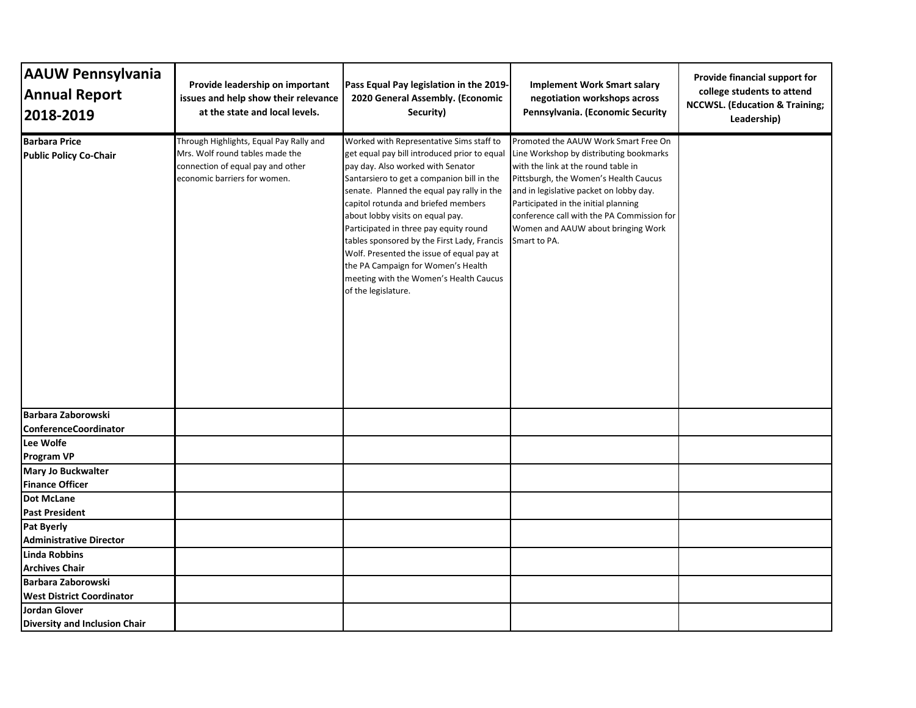| <b>AAUW Pennsylvania</b><br><b>Annual Report</b><br>2018-2019 | Provide leadership on important<br>issues and help show their relevance<br>at the state and local levels.                                       | Pass Equal Pay legislation in the 2019-<br>2020 General Assembly. (Economic<br>Security)                                                                                                                                                                                                                                                                                                                                                                                                                                                          | <b>Implement Work Smart salary</b><br>negotiation workshops across<br>Pennsylvania. (Economic Security                                                                                                                                                                                                                                                 | Provide financial support for<br>college students to attend<br><b>NCCWSL. (Education &amp; Training;</b><br>Leadership) |
|---------------------------------------------------------------|-------------------------------------------------------------------------------------------------------------------------------------------------|---------------------------------------------------------------------------------------------------------------------------------------------------------------------------------------------------------------------------------------------------------------------------------------------------------------------------------------------------------------------------------------------------------------------------------------------------------------------------------------------------------------------------------------------------|--------------------------------------------------------------------------------------------------------------------------------------------------------------------------------------------------------------------------------------------------------------------------------------------------------------------------------------------------------|-------------------------------------------------------------------------------------------------------------------------|
| <b>Barbara Price</b><br><b>Public Policy Co-Chair</b>         | Through Highlights, Equal Pay Rally and<br>Mrs. Wolf round tables made the<br>connection of equal pay and other<br>economic barriers for women. | Worked with Representative Sims staff to<br>get equal pay bill introduced prior to equal<br>pay day. Also worked with Senator<br>Santarsiero to get a companion bill in the<br>senate. Planned the equal pay rally in the<br>capitol rotunda and briefed members<br>about lobby visits on equal pay.<br>Participated in three pay equity round<br>tables sponsored by the First Lady, Francis<br>Wolf. Presented the issue of equal pay at<br>the PA Campaign for Women's Health<br>meeting with the Women's Health Caucus<br>of the legislature. | Promoted the AAUW Work Smart Free On<br>Line Workshop by distributing bookmarks<br>with the link at the round table in<br>Pittsburgh, the Women's Health Caucus<br>and in legislative packet on lobby day.<br>Participated in the initial planning<br>conference call with the PA Commission for<br>Women and AAUW about bringing Work<br>Smart to PA. |                                                                                                                         |
| Barbara Zaborowski<br><b>ConferenceCoordinator</b>            |                                                                                                                                                 |                                                                                                                                                                                                                                                                                                                                                                                                                                                                                                                                                   |                                                                                                                                                                                                                                                                                                                                                        |                                                                                                                         |
| Lee Wolfe                                                     |                                                                                                                                                 |                                                                                                                                                                                                                                                                                                                                                                                                                                                                                                                                                   |                                                                                                                                                                                                                                                                                                                                                        |                                                                                                                         |
| <b>Program VP</b>                                             |                                                                                                                                                 |                                                                                                                                                                                                                                                                                                                                                                                                                                                                                                                                                   |                                                                                                                                                                                                                                                                                                                                                        |                                                                                                                         |
| Mary Jo Buckwalter                                            |                                                                                                                                                 |                                                                                                                                                                                                                                                                                                                                                                                                                                                                                                                                                   |                                                                                                                                                                                                                                                                                                                                                        |                                                                                                                         |
| <b>Finance Officer</b>                                        |                                                                                                                                                 |                                                                                                                                                                                                                                                                                                                                                                                                                                                                                                                                                   |                                                                                                                                                                                                                                                                                                                                                        |                                                                                                                         |
| <b>Dot McLane</b>                                             |                                                                                                                                                 |                                                                                                                                                                                                                                                                                                                                                                                                                                                                                                                                                   |                                                                                                                                                                                                                                                                                                                                                        |                                                                                                                         |
| <b>Past President</b>                                         |                                                                                                                                                 |                                                                                                                                                                                                                                                                                                                                                                                                                                                                                                                                                   |                                                                                                                                                                                                                                                                                                                                                        |                                                                                                                         |
| <b>Pat Byerly</b>                                             |                                                                                                                                                 |                                                                                                                                                                                                                                                                                                                                                                                                                                                                                                                                                   |                                                                                                                                                                                                                                                                                                                                                        |                                                                                                                         |
| <b>Administrative Director</b>                                |                                                                                                                                                 |                                                                                                                                                                                                                                                                                                                                                                                                                                                                                                                                                   |                                                                                                                                                                                                                                                                                                                                                        |                                                                                                                         |
| Linda Robbins                                                 |                                                                                                                                                 |                                                                                                                                                                                                                                                                                                                                                                                                                                                                                                                                                   |                                                                                                                                                                                                                                                                                                                                                        |                                                                                                                         |
| <b>Archives Chair</b>                                         |                                                                                                                                                 |                                                                                                                                                                                                                                                                                                                                                                                                                                                                                                                                                   |                                                                                                                                                                                                                                                                                                                                                        |                                                                                                                         |
| Barbara Zaborowski                                            |                                                                                                                                                 |                                                                                                                                                                                                                                                                                                                                                                                                                                                                                                                                                   |                                                                                                                                                                                                                                                                                                                                                        |                                                                                                                         |
| <b>West District Coordinator</b>                              |                                                                                                                                                 |                                                                                                                                                                                                                                                                                                                                                                                                                                                                                                                                                   |                                                                                                                                                                                                                                                                                                                                                        |                                                                                                                         |
| Jordan Glover<br><b>Diversity and Inclusion Chair</b>         |                                                                                                                                                 |                                                                                                                                                                                                                                                                                                                                                                                                                                                                                                                                                   |                                                                                                                                                                                                                                                                                                                                                        |                                                                                                                         |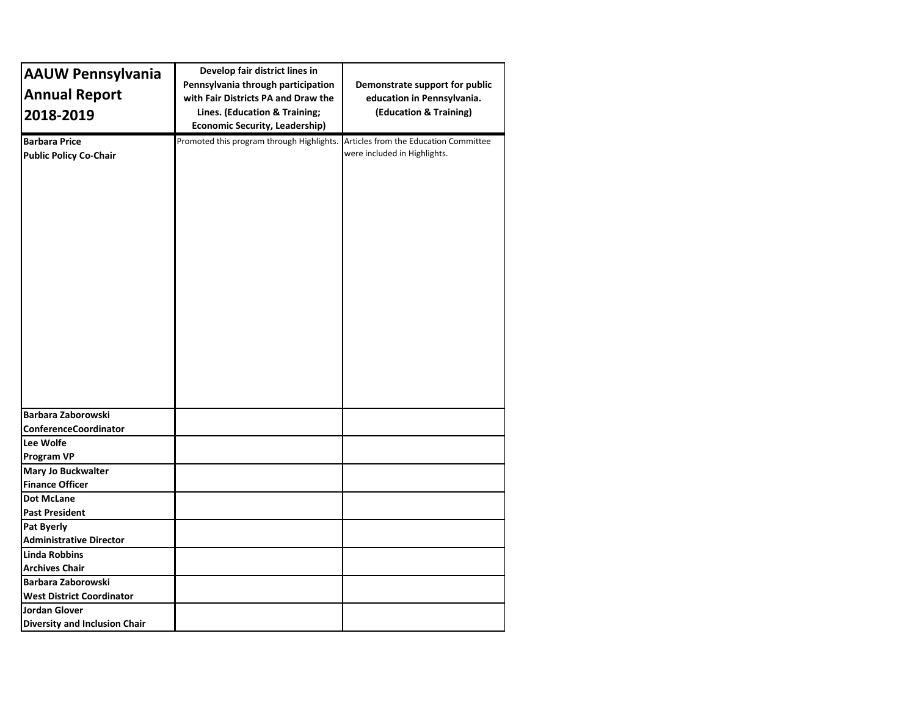| <b>AAUW Pennsylvania</b>                              | Develop fair district lines in            |                                                                       |
|-------------------------------------------------------|-------------------------------------------|-----------------------------------------------------------------------|
|                                                       | Pennsylvania through participation        | Demonstrate support for public                                        |
| <b>Annual Report</b>                                  | with Fair Districts PA and Draw the       | education in Pennsylvania.                                            |
| 2018-2019                                             | Lines. (Education & Training;             | (Education & Training)                                                |
|                                                       | <b>Economic Security, Leadership)</b>     |                                                                       |
| <b>Barbara Price</b><br><b>Public Policy Co-Chair</b> | Promoted this program through Highlights. | Articles from the Education Committee<br>were included in Highlights. |
|                                                       |                                           |                                                                       |
| Barbara Zaborowski                                    |                                           |                                                                       |
| <b>ConferenceCoordinator</b>                          |                                           |                                                                       |
| Lee Wolfe                                             |                                           |                                                                       |
| <b>Program VP</b>                                     |                                           |                                                                       |
| <b>Mary Jo Buckwalter</b>                             |                                           |                                                                       |
| <b>Finance Officer</b>                                |                                           |                                                                       |
| <b>Dot McLane</b>                                     |                                           |                                                                       |
| <b>Past President</b>                                 |                                           |                                                                       |
| <b>Pat Byerly</b>                                     |                                           |                                                                       |
| <b>Administrative Director</b>                        |                                           |                                                                       |
| Linda Robbins                                         |                                           |                                                                       |
| <b>Archives Chair</b>                                 |                                           |                                                                       |
| Barbara Zaborowski                                    |                                           |                                                                       |
| <b>West District Coordinator</b>                      |                                           |                                                                       |
| <b>Jordan Glover</b><br>Diversity and Inclusion Chair |                                           |                                                                       |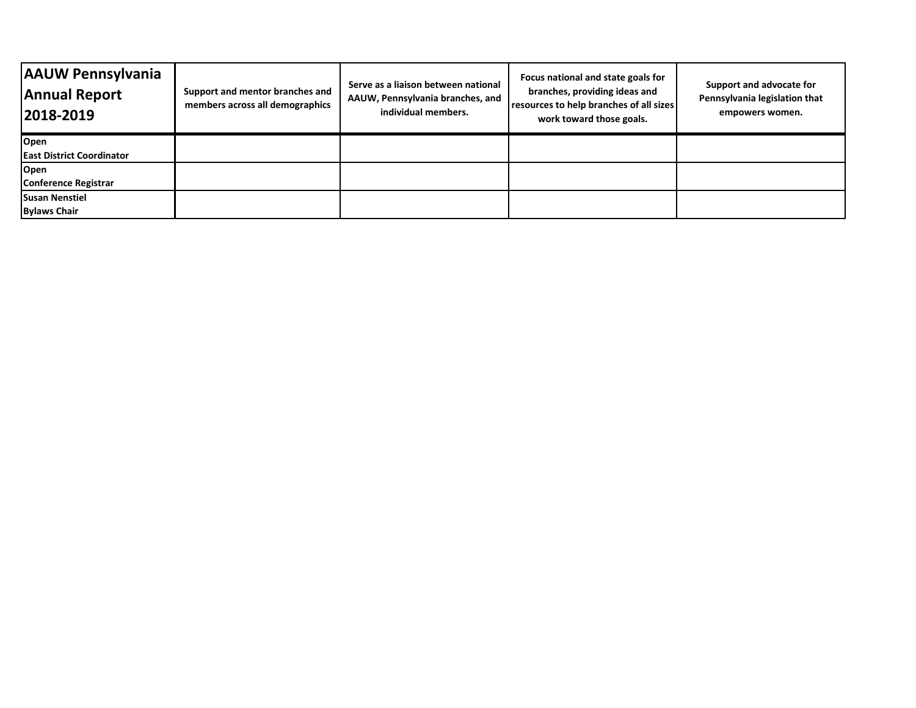| <b>AAUW Pennsylvania</b><br><b>Annual Report</b><br>2018-2019 | Support and mentor branches and<br>members across all demographics | Serve as a liaison between national<br>AAUW, Pennsylvania branches, and<br>individual members. | Focus national and state goals for<br>branches, providing ideas and<br>resources to help branches of all sizes<br>work toward those goals. | Support and advocate for<br>Pennsylvania legislation that<br>empowers women. |
|---------------------------------------------------------------|--------------------------------------------------------------------|------------------------------------------------------------------------------------------------|--------------------------------------------------------------------------------------------------------------------------------------------|------------------------------------------------------------------------------|
| Open                                                          |                                                                    |                                                                                                |                                                                                                                                            |                                                                              |
| <b>East District Coordinator</b>                              |                                                                    |                                                                                                |                                                                                                                                            |                                                                              |
| Open                                                          |                                                                    |                                                                                                |                                                                                                                                            |                                                                              |
| Conference Registrar                                          |                                                                    |                                                                                                |                                                                                                                                            |                                                                              |
| <b>Susan Nenstiel</b>                                         |                                                                    |                                                                                                |                                                                                                                                            |                                                                              |
| <b>Bylaws Chair</b>                                           |                                                                    |                                                                                                |                                                                                                                                            |                                                                              |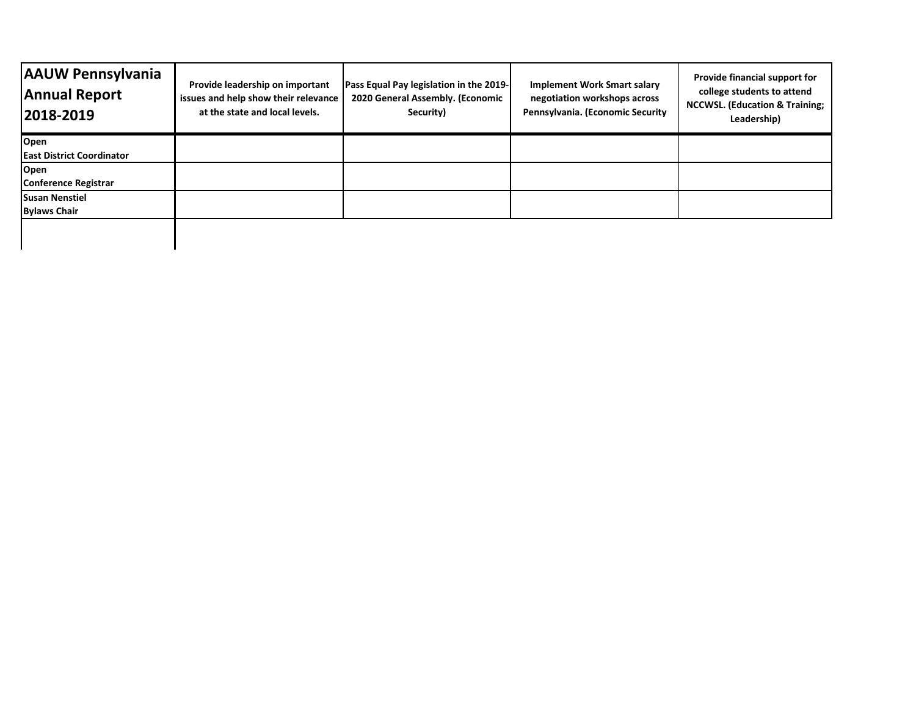| <b>AAUW Pennsylvania</b><br><b>Annual Report</b><br>2018-2019 | Provide leadership on important<br>issues and help show their relevance<br>at the state and local levels. | Pass Equal Pay legislation in the 2019-<br>2020 General Assembly. (Economic<br>Security) | <b>Implement Work Smart salary</b><br>negotiation workshops across<br>Pennsylvania. (Economic Security | Provide financial support for<br>college students to attend<br><b>NCCWSL. (Education &amp; Training;</b><br>Leadership) |
|---------------------------------------------------------------|-----------------------------------------------------------------------------------------------------------|------------------------------------------------------------------------------------------|--------------------------------------------------------------------------------------------------------|-------------------------------------------------------------------------------------------------------------------------|
| Open                                                          |                                                                                                           |                                                                                          |                                                                                                        |                                                                                                                         |
| <b>East District Coordinator</b>                              |                                                                                                           |                                                                                          |                                                                                                        |                                                                                                                         |
| Open                                                          |                                                                                                           |                                                                                          |                                                                                                        |                                                                                                                         |
| <b>Conference Registrar</b>                                   |                                                                                                           |                                                                                          |                                                                                                        |                                                                                                                         |
| <b>Susan Nenstiel</b>                                         |                                                                                                           |                                                                                          |                                                                                                        |                                                                                                                         |
| <b>Bylaws Chair</b>                                           |                                                                                                           |                                                                                          |                                                                                                        |                                                                                                                         |
|                                                               |                                                                                                           |                                                                                          |                                                                                                        |                                                                                                                         |

 $\mathbf I$